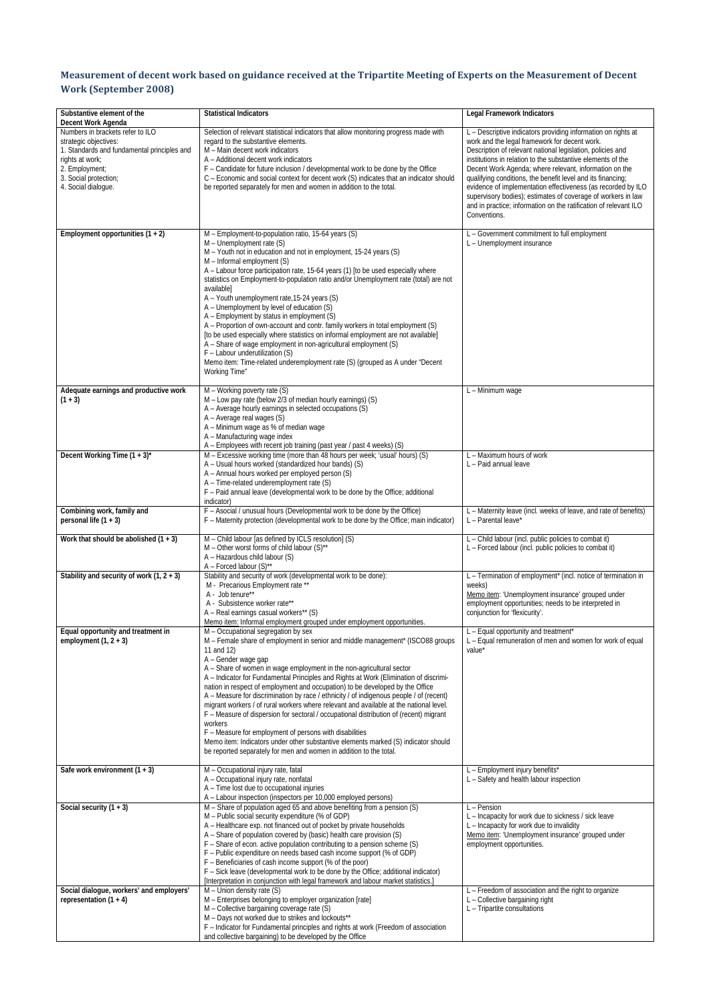## Measurement of decent work based on guidance received at the Tripartite Meeting of Experts on the Measurement of Decent **Work (September 2008)**

| Substantive element of the                                                                                                                                                                                          | <b>Statistical Indicators</b>                                                                                                                                                                                                                                                                                                                                                                                                                                                                                                                                                                                                                                                                                                                                                                                                                                                                                                 | <b>Legal Framework Indicators</b>                                                                                                                                                                                                                                                                                                                                                                                                                                                                                                                                                        |
|---------------------------------------------------------------------------------------------------------------------------------------------------------------------------------------------------------------------|-------------------------------------------------------------------------------------------------------------------------------------------------------------------------------------------------------------------------------------------------------------------------------------------------------------------------------------------------------------------------------------------------------------------------------------------------------------------------------------------------------------------------------------------------------------------------------------------------------------------------------------------------------------------------------------------------------------------------------------------------------------------------------------------------------------------------------------------------------------------------------------------------------------------------------|------------------------------------------------------------------------------------------------------------------------------------------------------------------------------------------------------------------------------------------------------------------------------------------------------------------------------------------------------------------------------------------------------------------------------------------------------------------------------------------------------------------------------------------------------------------------------------------|
| Decent Work Agenda<br>Numbers in brackets refer to ILO<br>strategic objectives:<br>1. Standards and fundamental principles and<br>rights at work;<br>2. Employment:<br>3. Social protection;<br>4. Social dialoque. | Selection of relevant statistical indicators that allow monitoring progress made with<br>regard to the substantive elements.<br>M - Main decent work indicators<br>A - Additional decent work indicators<br>F - Candidate for future inclusion / developmental work to be done by the Office<br>C - Economic and social context for decent work (S) indicates that an indicator should<br>be reported separately for men and women in addition to the total.                                                                                                                                                                                                                                                                                                                                                                                                                                                                  | L - Descriptive indicators providing information on rights at<br>work and the legal framework for decent work.<br>Description of relevant national legislation, policies and<br>institutions in relation to the substantive elements of the<br>Decent Work Agenda; where relevant, information on the<br>qualifying conditions, the benefit level and its financing;<br>evidence of implementation effectiveness (as recorded by ILO<br>supervisory bodies); estimates of coverage of workers in law<br>and in practice; information on the ratification of relevant ILO<br>Conventions. |
| Employment opportunities $(1 + 2)$                                                                                                                                                                                  | M - Employment-to-population ratio, 15-64 years (S)<br>M - Unemployment rate (S)<br>M - Youth not in education and not in employment, 15-24 years (S)<br>M - Informal employment (S)<br>A - Labour force participation rate, 15-64 years (1) [to be used especially where<br>statistics on Employment-to-population ratio and/or Unemployment rate (total) are not<br>available]<br>A - Youth unemployment rate, 15-24 years (S)<br>A - Unemployment by level of education (S)<br>A - Employment by status in employment (S)<br>A - Proportion of own-account and contr. family workers in total employment (S)<br>[to be used especially where statistics on informal employment are not available]<br>A - Share of wage employment in non-agricultural employment (S)<br>F - Labour underutilization (S)<br>Memo item: Time-related underemployment rate (S) (grouped as A under "Decent<br>Working Time"                   | L - Government commitment to full employment<br>L - Unemployment insurance                                                                                                                                                                                                                                                                                                                                                                                                                                                                                                               |
| Adequate earnings and productive work<br>$(1 + 3)$                                                                                                                                                                  | M - Working poverty rate (S)<br>M - Low pay rate (below 2/3 of median hourly earnings) (S)<br>A - Average hourly earnings in selected occupations (S)<br>A - Average real wages (S)<br>A - Minimum wage as % of median wage<br>A - Manufacturing wage index<br>A - Employees with recent job training (past year / past 4 weeks) (S)                                                                                                                                                                                                                                                                                                                                                                                                                                                                                                                                                                                          | L - Minimum wage                                                                                                                                                                                                                                                                                                                                                                                                                                                                                                                                                                         |
| Decent Working Time $(1 + 3)^*$                                                                                                                                                                                     | M - Excessive working time (more than 48 hours per week; 'usual' hours) (S)<br>A - Usual hours worked (standardized hour bands) (S)<br>A - Annual hours worked per employed person (S)<br>A - Time-related underemployment rate (S)<br>F - Paid annual leave (developmental work to be done by the Office; additional<br>indicator)                                                                                                                                                                                                                                                                                                                                                                                                                                                                                                                                                                                           | L - Maximum hours of work<br>L - Paid annual leave                                                                                                                                                                                                                                                                                                                                                                                                                                                                                                                                       |
| Combining work, family and<br>personal life (1 + 3)                                                                                                                                                                 | F - Asocial / unusual hours (Developmental work to be done by the Office)<br>F - Maternity protection (developmental work to be done by the Office; main indicator)                                                                                                                                                                                                                                                                                                                                                                                                                                                                                                                                                                                                                                                                                                                                                           | L - Maternity leave (incl. weeks of leave, and rate of benefits)<br>L - Parental leave*                                                                                                                                                                                                                                                                                                                                                                                                                                                                                                  |
| Work that should be abolished $(1 + 3)$                                                                                                                                                                             | M - Child labour [as defined by ICLS resolution] (S)<br>M - Other worst forms of child labour (S)**<br>A - Hazardous child labour (S)<br>A - Forced labour (S)**                                                                                                                                                                                                                                                                                                                                                                                                                                                                                                                                                                                                                                                                                                                                                              | L - Child labour (incl. public policies to combat it)<br>L - Forced labour (incl. public policies to combat it)                                                                                                                                                                                                                                                                                                                                                                                                                                                                          |
| Stability and security of work $(1, 2 + 3)$                                                                                                                                                                         | Stability and security of work (developmental work to be done):<br>M - Precarious Employment rate **<br>A - Job tenure**<br>A - Subsistence worker rate**<br>A – Real earnings casual workers** (S)<br>Memo item: Informal employment grouped under employment opportunities.                                                                                                                                                                                                                                                                                                                                                                                                                                                                                                                                                                                                                                                 | L - Termination of employment* (incl. notice of termination in<br>weeks)<br>Memo item: 'Unemployment insurance' grouped under<br>employment opportunities; needs to be interpreted in<br>conjunction for 'flexicurity'.                                                                                                                                                                                                                                                                                                                                                                  |
| Equal opportunity and treatment in<br>employment $(1, 2 + 3)$                                                                                                                                                       | M - Occupational segregation by sex<br>M – Female share of employment in senior and middle management* (ISCO88 groups<br>11 and 12)<br>A - Gender wage gap<br>A - Share of women in wage employment in the non-agricultural sector<br>A - Indicator for Fundamental Principles and Rights at Work (Elimination of discrimi-<br>nation in respect of employment and occupation) to be developed by the Office<br>A – Measure for discrimination by race / ethnicity / of indigenous people / of (recent)<br>migrant workers / of rural workers where relevant and available at the national level.<br>F - Measure of dispersion for sectoral / occupational distribution of (recent) migrant<br>workers<br>F - Measure for employment of persons with disabilities<br>Memo item: Indicators under other substantive elements marked (S) indicator should<br>be reported separately for men and women in addition to the total. | L - Equal opportunity and treatment*<br>L - Equal remuneration of men and women for work of equal<br>value'                                                                                                                                                                                                                                                                                                                                                                                                                                                                              |
| Safe work environment $(1 + 3)$                                                                                                                                                                                     | M - Occupational injury rate, fatal<br>A - Occupational injury rate, nonfatal<br>A - Time lost due to occupational injuries<br>A - Labour inspection (inspectors per 10,000 employed persons)                                                                                                                                                                                                                                                                                                                                                                                                                                                                                                                                                                                                                                                                                                                                 | L - Employment injury benefits*<br>L - Safety and health labour inspection                                                                                                                                                                                                                                                                                                                                                                                                                                                                                                               |
| Social security $(1 + 3)$                                                                                                                                                                                           | M - Share of population aged 65 and above benefiting from a pension (S)<br>M - Public social security expenditure (% of GDP)<br>A - Healthcare exp. not financed out of pocket by private households<br>A - Share of population covered by (basic) health care provision (S)<br>F - Share of econ. active population contributing to a pension scheme (S)<br>F - Public expenditure on needs based cash income support (% of GDP)<br>F - Beneficiaries of cash income support (% of the poor)<br>F - Sick leave (developmental work to be done by the Office; additional indicator)<br>[Interpretation in conjunction with legal framework and labour market statistics.]                                                                                                                                                                                                                                                     | L - Pension<br>L - Incapacity for work due to sickness / sick leave<br>L - Incapacity for work due to invalidity<br>Memo item: 'Unemployment insurance' grouped under<br>employment opportunities.                                                                                                                                                                                                                                                                                                                                                                                       |
| Social dialogue, workers' and employers'<br>representation $(1 + 4)$                                                                                                                                                | M - Union density rate (S)<br>M - Enterprises belonging to employer organization [rate]<br>M - Collective bargaining coverage rate (S)<br>M - Days not worked due to strikes and lockouts**<br>F - Indicator for Fundamental principles and rights at work (Freedom of association<br>and collective bargaining) to be developed by the Office                                                                                                                                                                                                                                                                                                                                                                                                                                                                                                                                                                                | L - Freedom of association and the right to organize<br>L - Collective bargaining right<br>L - Tripartite consultations                                                                                                                                                                                                                                                                                                                                                                                                                                                                  |